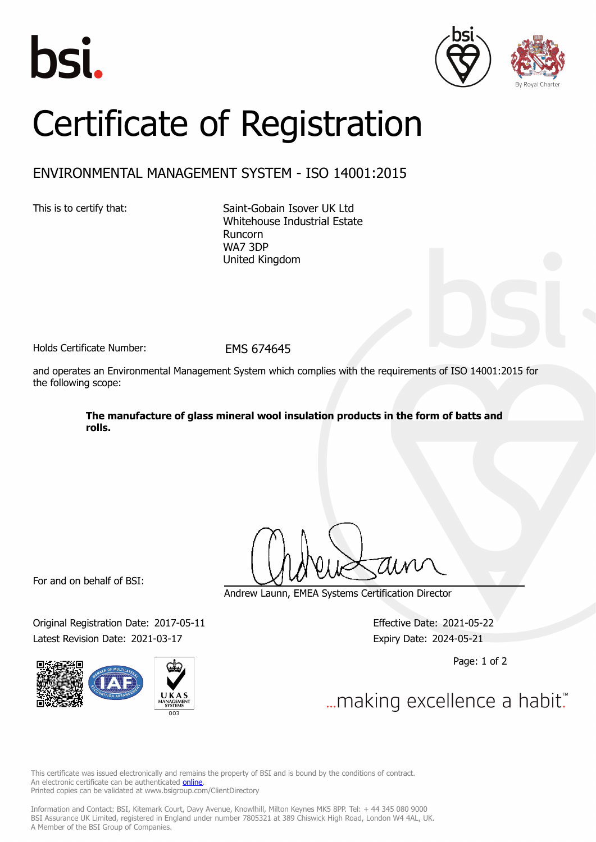





## Certificate of Registration

## ENVIRONMENTAL MANAGEMENT SYSTEM - ISO 14001:2015

This is to certify that: Saint-Gobain Isover UK Ltd Whitehouse Industrial Estate Runcorn WA7 3DP United Kingdom

Holds Certificate Number: FMS 674645

and operates an Environmental Management System which complies with the requirements of ISO 14001:2015 for the following scope:

> **The manufacture of glass mineral wool insulation products in the form of batts and rolls.**

For and on behalf of BSI:

Original Registration Date: 2017-05-11 Effective Date: 2021-05-22 Latest Revision Date: 2021-03-17 Expiry Date: 2024-05-21



Andrew Launn, EMEA Systems Certification Director

Page: 1 of 2

... making excellence a habit."

This certificate was issued electronically and remains the property of BSI and is bound by the conditions of contract. An electronic certificate can be authenticated **[online](https://pgplus.bsigroup.com/CertificateValidation/CertificateValidator.aspx?CertificateNumber=EMS+674645&ReIssueDate=17%2f03%2f2021&Template=uk)**. Printed copies can be validated at www.bsigroup.com/ClientDirectory

Information and Contact: BSI, Kitemark Court, Davy Avenue, Knowlhill, Milton Keynes MK5 8PP. Tel: + 44 345 080 9000 BSI Assurance UK Limited, registered in England under number 7805321 at 389 Chiswick High Road, London W4 4AL, UK. A Member of the BSI Group of Companies.